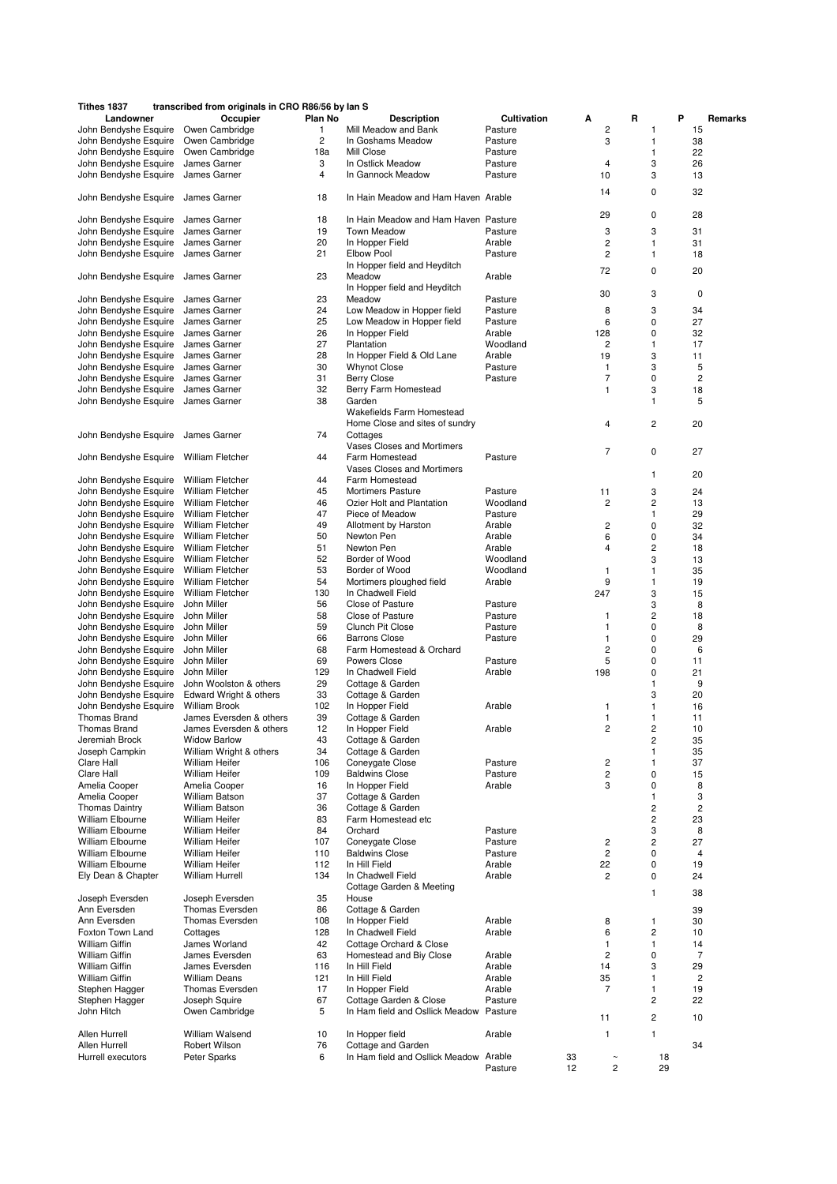| Tithes 1837                                    | transcribed from originals in CRO R86/56 by lan S  |          |                                                             |                  |     |                         |                               |                         |
|------------------------------------------------|----------------------------------------------------|----------|-------------------------------------------------------------|------------------|-----|-------------------------|-------------------------------|-------------------------|
| Landowner                                      | Occupier                                           | Plan No  | <b>Description</b>                                          | Cultivation      | А   | R                       | P                             | Remarks                 |
| John Bendyshe Esquire                          | Owen Cambridge                                     | 1        | Mill Meadow and Bank                                        | Pasture          |     | $\overline{\mathbf{c}}$ | $\mathbf{1}$                  | 15                      |
| John Bendyshe Esquire                          | Owen Cambridge                                     | 2        | In Goshams Meadow                                           | Pasture          |     | 3                       | $\mathbf{1}$                  | 38                      |
| John Bendyshe Esquire                          | Owen Cambridge                                     | 18a      | Mill Close                                                  | Pasture          |     |                         | 1                             | 22                      |
| John Bendyshe Esquire                          | James Garner                                       | 3        | In Ostlick Meadow                                           | Pasture          |     | 4                       | 3                             | 26                      |
| John Bendyshe Esquire                          | James Garner                                       | 4        | In Gannock Meadow                                           | Pasture          | 10  |                         | 3                             | 13                      |
| John Bendyshe Esquire                          | James Garner                                       | 18       | In Hain Meadow and Ham Haven Arable                         |                  | 14  |                         | 0                             | 32                      |
| John Bendyshe Esquire                          | James Garner                                       | 18       | In Hain Meadow and Ham Haven Pasture                        |                  | 29  |                         | 0                             | 28                      |
| John Bendyshe Esquire                          | James Garner                                       | 19       | <b>Town Meadow</b>                                          | Pasture          |     | 3                       | 3                             | 31                      |
| John Bendyshe Esquire                          | James Garner                                       | 20       | In Hopper Field                                             | Arable           |     | 2                       | 1                             | 31                      |
| John Bendyshe Esquire                          | James Garner                                       | 21       | <b>Elbow Pool</b>                                           | Pasture          |     | 2                       | 1                             | 18                      |
|                                                |                                                    |          | In Hopper field and Heyditch                                |                  |     |                         |                               |                         |
| John Bendyshe Esquire                          | James Garner                                       | 23       | Meadow<br>In Hopper field and Heyditch                      | Arable           | 72  |                         | 0                             | 20                      |
| John Bendyshe Esquire                          | James Garner                                       | 23       | Meadow                                                      | Pasture          | 30  |                         | 3                             | 0                       |
| John Bendyshe Esquire                          | James Garner                                       | 24       | Low Meadow in Hopper field                                  | Pasture          |     | 8                       | 3                             | 34                      |
| John Bendyshe Esquire                          | James Garner                                       | 25       | Low Meadow in Hopper field                                  | Pasture          |     | 6                       | 0                             | 27                      |
| John Bendyshe Esquire                          | James Garner                                       | 26       | In Hopper Field                                             | Arable           | 128 |                         | $\mathbf 0$                   | 32                      |
| John Bendyshe Esquire                          | James Garner                                       | 27       | Plantation                                                  | Woodland         |     | 2                       | 1                             | 17                      |
| John Bendyshe Esquire                          | James Garner                                       | 28       | In Hopper Field & Old Lane                                  | Arable           | 19  |                         | 3                             | 11                      |
| John Bendyshe Esquire                          | James Garner                                       | 30       | <b>Whynot Close</b>                                         | Pasture          |     | 1                       | 3                             | 5                       |
| John Bendyshe Esquire                          | James Garner                                       | 31       | <b>Berry Close</b>                                          | Pasture          |     | 7                       | 0                             | $\overline{\mathbf{c}}$ |
| John Bendyshe Esquire                          | James Garner                                       | 32       | Berry Farm Homestead                                        |                  |     | 1                       | 3                             | 18                      |
| John Bendyshe Esquire                          | James Garner                                       | 38       | Garden                                                      |                  |     |                         | 1                             | 5                       |
|                                                |                                                    |          | Wakefields Farm Homestead<br>Home Close and sites of sundry |                  |     | 4                       | $\overline{c}$                | 20                      |
| John Bendyshe Esquire                          | James Garner                                       | 74       | Cottages                                                    |                  |     |                         |                               |                         |
|                                                |                                                    |          | Vases Closes and Mortimers<br>Farm Homestead                |                  |     | 7                       | 0                             | 27                      |
| John Bendyshe Esquire                          | <b>William Fletcher</b>                            | 44       |                                                             | Pasture          |     |                         |                               |                         |
|                                                |                                                    |          | Vases Closes and Mortimers                                  |                  |     |                         | 1                             | 20                      |
| John Bendyshe Esquire<br>John Bendyshe Esquire | <b>William Fletcher</b>                            | 44       | Farm Homestead                                              |                  |     |                         |                               |                         |
|                                                | <b>William Fletcher</b>                            | 45       | <b>Mortimers Pasture</b>                                    | Pasture          | 11  |                         | 3                             | 24                      |
| John Bendyshe Esquire                          | <b>William Fletcher</b>                            | 46<br>47 | Ozier Holt and Plantation                                   | Woodland         |     | 2                       | $\overline{c}$                | 13                      |
| John Bendyshe Esquire                          | <b>William Fletcher</b>                            |          | Piece of Meadow                                             | Pasture          |     |                         | 1                             | 29                      |
| John Bendyshe Esquire                          | <b>William Fletcher</b><br><b>William Fletcher</b> | 49       | Allotment by Harston<br>Newton Pen                          | Arable           |     | 2                       | 0                             | 32                      |
| John Bendyshe Esquire                          | <b>William Fletcher</b>                            | 50<br>51 | Newton Pen                                                  | Arable<br>Arable |     | 6<br>4                  | $\mathbf 0$<br>$\overline{c}$ | 34<br>18                |
| John Bendyshe Esquire<br>John Bendyshe Esquire | <b>William Fletcher</b>                            | 52       | Border of Wood                                              | Woodland         |     |                         | 3                             |                         |
| John Bendyshe Esquire                          | <b>William Fletcher</b>                            | 53       | Border of Wood                                              | Woodland         |     | 1                       | 1                             | 13<br>35                |
| John Bendyshe Esquire                          | <b>William Fletcher</b>                            | 54       | Mortimers ploughed field                                    | Arable           |     | 9                       | 1                             | 19                      |
| John Bendyshe Esquire                          | <b>William Fletcher</b>                            | 130      | In Chadwell Field                                           |                  | 247 |                         | 3                             | 15                      |
| John Bendyshe Esquire                          | John Miller                                        | 56       | Close of Pasture                                            | Pasture          |     |                         | 3                             | 8                       |
| John Bendyshe Esquire                          | John Miller                                        | 58       | Close of Pasture                                            | Pasture          |     | 1                       | $\overline{c}$                | 18                      |
| John Bendyshe Esquire                          | John Miller                                        | 59       | Clunch Pit Close                                            | Pasture          |     | 1                       | 0                             | 8                       |
| John Bendyshe Esquire                          | John Miller                                        | 66       | <b>Barrons Close</b>                                        | Pasture          |     | 1                       | $\mathbf 0$                   | 29                      |
| John Bendyshe Esquire                          | John Miller                                        | 68       | Farm Homestead & Orchard                                    |                  |     | 2                       | 0                             | 6                       |
| John Bendyshe Esquire                          | John Miller                                        | 69       | <b>Powers Close</b>                                         | Pasture          |     | 5                       | 0                             | 11                      |
| John Bendyshe Esquire                          | John Miller                                        | 129      | In Chadwell Field                                           | Arable           | 198 |                         | 0                             | 21                      |
| John Bendyshe Esquire                          | John Woolston & others                             | 29       | Cottage & Garden                                            |                  |     |                         | 1                             | 9                       |
| John Bendyshe Esquire                          | Edward Wright & others                             | 33       | Cottage & Garden                                            |                  |     |                         | 3                             | 20                      |
| John Bendyshe Esquire                          | <b>William Brook</b>                               | 102      | In Hopper Field                                             | Arable           |     | 1                       | 1                             | 16                      |
| Thomas Brand                                   | James Eversden & others                            | 39       | Cottage & Garden                                            |                  |     | 1                       | 1                             | 11                      |
| Thomas Brand                                   | James Eversden & others                            | 12       | In Hopper Field                                             | Arable           |     | 2                       | 2                             | 10                      |
| Jeremiah Brock                                 | <b>Widow Barlow</b>                                | 43       | Cottage & Garden                                            |                  |     |                         | $\overline{c}$                | 35                      |
| Joseph Campkin                                 | William Wright & others                            | 34       | Cottage & Garden                                            |                  |     |                         | 1                             | 35                      |
| Clare Hall                                     | <b>William Heifer</b>                              | 106      | Coneygate Close                                             | Pasture          |     | 2                       | 1                             | 37                      |
| Clare Hall                                     | <b>William Heifer</b>                              | 109      | <b>Baldwins Close</b>                                       | Pasture          |     | 2                       | $\pmb{0}$                     | 15                      |
| Amelia Cooper                                  | Amelia Cooper                                      | 16       | In Hopper Field                                             | Arable           |     | 3                       | 0                             | 8                       |
| Amelia Cooper                                  | William Batson                                     | 37       | Cottage & Garden                                            |                  |     |                         | $\mathbf{1}$                  | 3                       |
| <b>Thomas Daintry</b>                          | William Batson                                     | 36       | Cottage & Garden                                            |                  |     |                         | $\overline{c}$                | $\overline{\mathbf{c}}$ |
| William Elbourne                               | William Heifer                                     | 83       | Farm Homestead etc                                          |                  |     |                         | $\overline{c}$                | 23                      |
| William Elbourne                               | <b>William Heifer</b>                              | 84       | Orchard                                                     | Pasture          |     |                         | 3                             | 8                       |
| William Elbourne                               | <b>William Heifer</b>                              | 107      | Coneygate Close                                             | Pasture          |     | $\overline{c}$          | $\overline{c}$                | 27                      |
| William Elbourne                               | <b>William Heifer</b>                              | 110      | <b>Baldwins Close</b>                                       | Pasture          |     | $\overline{c}$          | 0                             | 4                       |
| William Elbourne                               | <b>William Heifer</b>                              | 112      | In Hill Field                                               | Arable           | 22  |                         | 0                             | 19                      |
| Ely Dean & Chapter                             | <b>William Hurrell</b>                             | 134      | In Chadwell Field<br>Cottage Garden & Meeting               | Arable           |     | 2                       | 0                             | 24                      |
| Joseph Eversden                                | Joseph Eversden                                    | 35       | House                                                       |                  |     |                         | 1                             | 38                      |
| Ann Eversden                                   | Thomas Eversden                                    | 86       | Cottage & Garden                                            |                  |     |                         |                               | 39                      |
| Ann Eversden                                   | Thomas Eversden                                    | 108      | In Hopper Field                                             | Arable           |     | 8                       | 1                             | 30                      |
| Foxton Town Land                               | Cottages                                           | 128      | In Chadwell Field                                           | Arable           |     | 6                       | $\overline{\mathbf{c}}$       | 10                      |
| William Giffin                                 | James Worland                                      | 42       | Cottage Orchard & Close                                     |                  |     |                         | 1                             | 14                      |
| William Giffin                                 | James Eversden                                     | 63       | Homestead and Biy Close                                     | Arable           |     | 2                       | 0                             | $\overline{7}$          |
| William Giffin                                 | James Eversden                                     | 116      | In Hill Field                                               | Arable           | 14  |                         | 3                             | 29                      |
| William Giffin                                 | <b>William Deans</b>                               | 121      | In Hill Field                                               | Arable           | 35  |                         | 1                             | $\overline{\mathbf{c}}$ |
| Stephen Hagger                                 | Thomas Eversden                                    | 17       | In Hopper Field                                             | Arable           |     | 7                       | 1                             | 19                      |
| Stephen Hagger                                 | Joseph Squire                                      | 67       | Cottage Garden & Close                                      | Pasture          |     |                         | $\overline{c}$                | 22                      |
| John Hitch                                     | Owen Cambridge                                     | 5        | In Ham field and Osllick Meadow Pasture                     |                  |     |                         | $\overline{c}$                | 10                      |
|                                                |                                                    |          |                                                             |                  | 11  |                         |                               |                         |
| Allen Hurrell                                  | William Walsend                                    | 10       | In Hopper field                                             | Arable           |     | 1                       | 1                             |                         |
| Allen Hurrell                                  | Robert Wilson                                      | 76       | Cottage and Garden                                          |                  |     |                         |                               | 34                      |
| Hurrell executors                              | Peter Sparks                                       | 6        | In Ham field and Osllick Meadow                             | Arable           | 33  | $\sim$                  | 18                            |                         |
|                                                |                                                    |          |                                                             | Pasture          | 12  | $\overline{c}$          | 29                            |                         |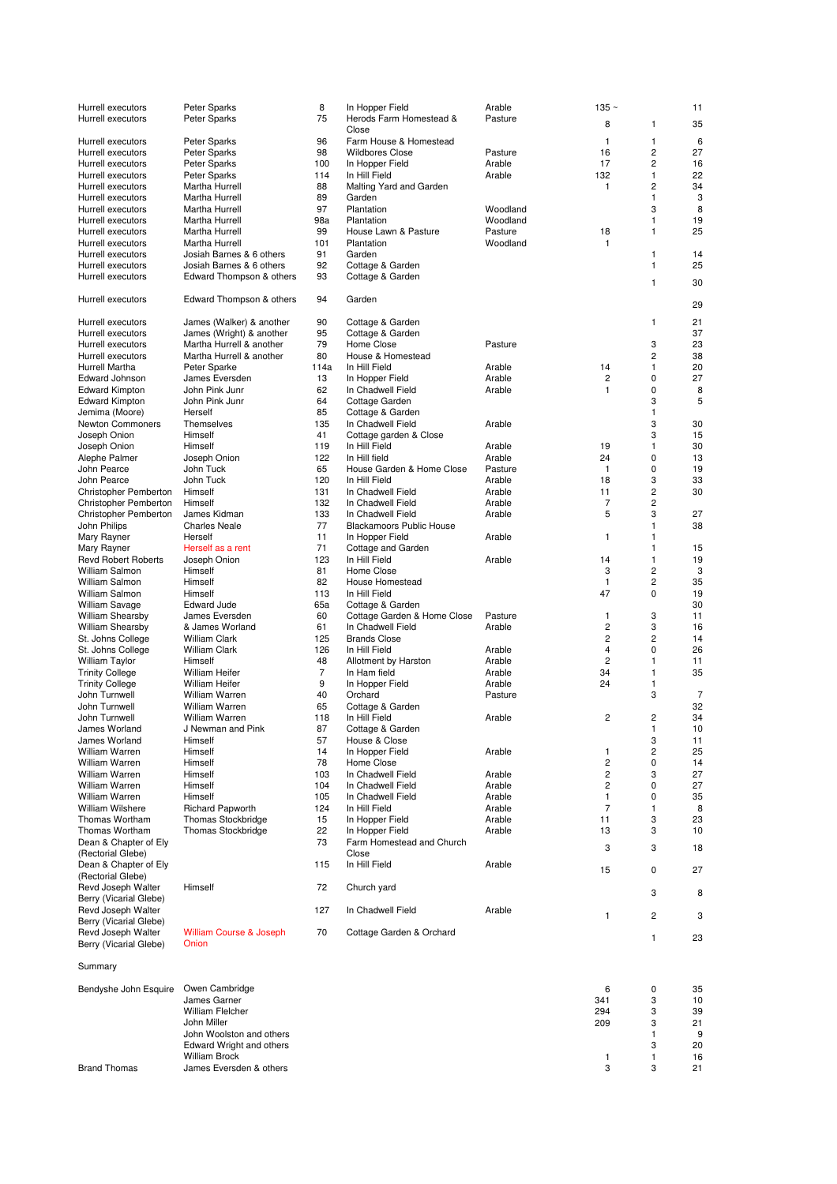| Hurrell executors<br>Hurrell executors | Peter Sparks                       | 8<br>75        | In Hopper Field<br>Herods Farm Homestead &       | Arable<br>Pasture | 135 $\sim$     |                | 11             |
|----------------------------------------|------------------------------------|----------------|--------------------------------------------------|-------------------|----------------|----------------|----------------|
|                                        | Peter Sparks                       |                | Close                                            |                   | 8              | 1              | 35             |
| Hurrell executors                      | Peter Sparks                       | 96             | Farm House & Homestead                           |                   | 1              | 1              | 6              |
| Hurrell executors                      | Peter Sparks                       | 98             | <b>Wildbores Close</b>                           | Pasture           | 16             | 2              | 27             |
| Hurrell executors                      | Peter Sparks                       | 100            | In Hopper Field                                  | Arable            | 17             | 2              | 16             |
| Hurrell executors                      | Peter Sparks                       | 114            | In Hill Field                                    | Arable            | 132            | 1              | 22             |
| Hurrell executors                      | Martha Hurrell                     | 88             | Malting Yard and Garden                          |                   | 1              | 2              | 34             |
| Hurrell executors                      | Martha Hurrell                     | 89             | Garden                                           |                   |                | 1              | 3              |
| Hurrell executors                      | Martha Hurrell                     | 97             | Plantation                                       | Woodland          |                | 3              | 8              |
| Hurrell executors                      | Martha Hurrell                     | 98a            | Plantation                                       | Woodland          |                | 1              | 19             |
| Hurrell executors                      | Martha Hurrell                     | 99             | House Lawn & Pasture                             | Pasture           | 18             | 1              | 25             |
| Hurrell executors                      | Martha Hurrell                     | 101            | Plantation                                       | Woodland          | 1              |                |                |
| Hurrell executors                      | Josiah Barnes & 6 others           | 91             | Garden                                           |                   |                | 1              | 14             |
| Hurrell executors                      | Josiah Barnes & 6 others           | 92             | Cottage & Garden                                 |                   |                | 1              | 25             |
| Hurrell executors                      | Edward Thompson & others           | 93             | Cottage & Garden                                 |                   |                | 1              | 30             |
| Hurrell executors                      | Edward Thompson & others           | 94             | Garden                                           |                   |                |                | 29             |
| Hurrell executors                      | James (Walker) & another           | 90             | Cottage & Garden                                 |                   |                | 1              | 21             |
| Hurrell executors                      | James (Wright) & another           | 95             | Cottage & Garden                                 |                   |                |                | 37             |
| Hurrell executors                      | Martha Hurrell & another           | 79             | Home Close                                       | Pasture           |                | 3              | 23             |
| Hurrell executors                      | Martha Hurrell & another           | 80             | House & Homestead                                |                   |                | $\overline{c}$ | 38             |
| Hurrell Martha                         | Peter Sparke                       | 114a           | In Hill Field                                    | Arable            | 14             | 1              | 20             |
| Edward Johnson                         | James Eversden                     | 13             | In Hopper Field                                  | Arable            | 2              | 0              | 27             |
| <b>Edward Kimpton</b>                  | John Pink Junr                     | 62             | In Chadwell Field                                | Arable            | 1              | 0              | 8              |
| <b>Edward Kimpton</b>                  | John Pink Junr                     | 64             | Cottage Garden                                   |                   |                | 3              | 5              |
| Jemima (Moore)                         | Herself                            | 85             | Cottage & Garden                                 |                   |                | 1              |                |
| Newton Commoners                       | Themselves                         | 135            | In Chadwell Field                                | Arable            |                | 3              | 30             |
| Joseph Onion                           | Himself                            | 41             | Cottage garden & Close                           |                   |                | 3              | 15             |
| Joseph Onion                           | Himself                            | 119            | In Hill Field                                    | Arable            | 19             | 1              | 30             |
| Alephe Palmer                          | Joseph Onion                       | 122            | In Hill field                                    | Arable            | 24             | 0              | 13             |
| John Pearce                            | John Tuck                          | 65             | House Garden & Home Close                        | Pasture           | 1              | 0              | 19             |
| John Pearce                            | John Tuck                          | 120            | In Hill Field                                    | Arable            | 18             | 3              | 33             |
| Christopher Pemberton                  | Himself                            | 131            | In Chadwell Field                                | Arable            | 11             | $\overline{c}$ | 30             |
| Christopher Pemberton                  | Himself                            | 132            | In Chadwell Field                                | Arable            | 7              | 2              |                |
| Christopher Pemberton                  | James Kidman                       | 133            | In Chadwell Field                                | Arable            | 5              | 3              | 27             |
| John Philips                           | <b>Charles Neale</b>               | 77             | <b>Blackamoors Public House</b>                  |                   |                | 1              | 38             |
| Mary Rayner                            | Herself                            | 11             | In Hopper Field                                  | Arable            | 1              | 1              |                |
| Mary Rayner                            | Herself as a rent                  | 71             | Cottage and Garden                               |                   |                | 1              | 15             |
| <b>Revd Robert Roberts</b>             | Joseph Onion                       | 123            | In Hill Field                                    | Arable            | 14             | 1              | 19             |
| William Salmon                         | Himself                            | 81             | Home Close                                       |                   | 3              | 2              | 3              |
| William Salmon                         | Himself                            | 82             | House Homestead                                  |                   | 1              | 2              | 35             |
| William Salmon                         | Himself                            | 113            | In Hill Field                                    |                   | 47             | 0              | 19             |
| William Savage                         | <b>Edward Jude</b>                 | 65a            | Cottage & Garden                                 |                   |                |                | 30             |
| <b>William Shearsby</b>                | James Eversden<br>& James Worland  | 60<br>61       | Cottage Garden & Home Close<br>In Chadwell Field | Pasture<br>Arable | 1<br>2         | 3<br>3         | 11<br>16       |
| <b>William Shearsby</b>                | <b>William Clark</b>               | 125            |                                                  |                   | $\overline{c}$ | $\overline{c}$ | 14             |
| St. Johns College<br>St. Johns College | William Clark                      | 126            | <b>Brands Close</b><br>In Hill Field             | Arable            | 4              | 0              | 26             |
| William Taylor                         | Himself                            | 48             | Allotment by Harston                             | Arable            | 2              | 1              | 11             |
| <b>Trinity College</b>                 | William Heifer                     | $\overline{7}$ | In Ham field                                     | Arable            | 34             | 1              | 35             |
| <b>Trinity College</b>                 | <b>William Heifer</b>              | 9              | In Hopper Field                                  | Arable            | 24             | 1              |                |
| John Turnwell                          | William Warren                     | 40             | Orchard                                          | Pasture           |                | 3              | $\overline{7}$ |
| John Turnwell                          | William Warren                     | 65             | Cottage & Garden                                 |                   |                |                | 32             |
| John Turnwell                          | William Warren                     | 118            | In Hill Field                                    | Arable            | 2              | 2              | 34             |
| James Worland                          | J Newman and Pink                  | 87             | Cottage & Garden                                 |                   |                | 1              | 10             |
| James Worland                          | Himself                            | 57             | House & Close                                    |                   |                | 3              | 11             |
| William Warren                         | Himself                            | 14             | In Hopper Field                                  | Arable            | 1              | 2              | 25             |
| William Warren                         | Himself                            | 78             | Home Close                                       |                   | 2              | 0              | 14             |
| William Warren                         | Himself                            | 103            | In Chadwell Field                                | Arable            | 2              | 3              | 27             |
| William Warren                         | Himself                            | 104            | In Chadwell Field                                | Arable            | 2              | 0              | 27             |
| <b>William Warren</b>                  | Himself                            | 105            | In Chadwell Field                                | Arable            | 1              | 0              | 35             |
| William Wilshere                       | <b>Richard Papworth</b>            | 124            | In Hill Field                                    | Arable            | 7              | 1              | 8              |
| Thomas Wortham                         | <b>Thomas Stockbridge</b>          | 15             | In Hopper Field                                  | Arable            | 11             | 3              | 23             |
| <b>Thomas Wortham</b>                  | <b>Thomas Stockbridge</b>          | 22             | In Hopper Field                                  | Arable            | 13             | 3              | 10             |
| Dean & Chapter of Ely                  |                                    | 73             | Farm Homestead and Church                        |                   |                | 3              |                |
| (Rectorial Glebe)                      |                                    |                | Close                                            |                   | 3              |                | 18             |
| Dean & Chapter of Ely                  |                                    | 115            | In Hill Field                                    | Arable            | 15             | 0              | 27             |
| (Rectorial Glebe)                      |                                    |                |                                                  |                   |                |                |                |
| Revd Joseph Walter                     | Himself                            | 72             | Church yard                                      |                   |                | 3              | 8              |
| Berry (Vicarial Glebe)                 |                                    |                |                                                  |                   |                |                |                |
| Revd Joseph Walter                     |                                    | 127            | In Chadwell Field                                | Arable            | 1              | 2              | 3              |
| Berry (Vicarial Glebe)                 |                                    |                |                                                  |                   |                |                |                |
| Revd Joseph Walter                     | <b>William Course &amp; Joseph</b> | 70             | Cottage Garden & Orchard                         |                   |                | 1              | 23             |
| Berry (Vicarial Glebe)                 | Onion                              |                |                                                  |                   |                |                |                |
| Summary                                |                                    |                |                                                  |                   |                |                |                |
|                                        |                                    |                |                                                  |                   |                |                |                |
| Bendyshe John Esquire                  | Owen Cambridge                     |                |                                                  |                   | 6              | 0              | 35             |
|                                        | James Garner                       |                |                                                  |                   | 341            | 3              | 10             |
|                                        | <b>William Flelcher</b>            |                |                                                  |                   | 294            | 3              | 39             |
|                                        | John Miller                        |                |                                                  |                   | 209            | 3              | 21             |
|                                        | John Woolston and others           |                |                                                  |                   |                | 1              | 9              |
|                                        | Edward Wright and others           |                |                                                  |                   |                | 3              | 20             |
|                                        | <b>William Brock</b>               |                |                                                  |                   | 1              | 1              | 16             |
| <b>Brand Thomas</b>                    | James Eversden & others            |                |                                                  |                   | 3              | 3              | 21             |